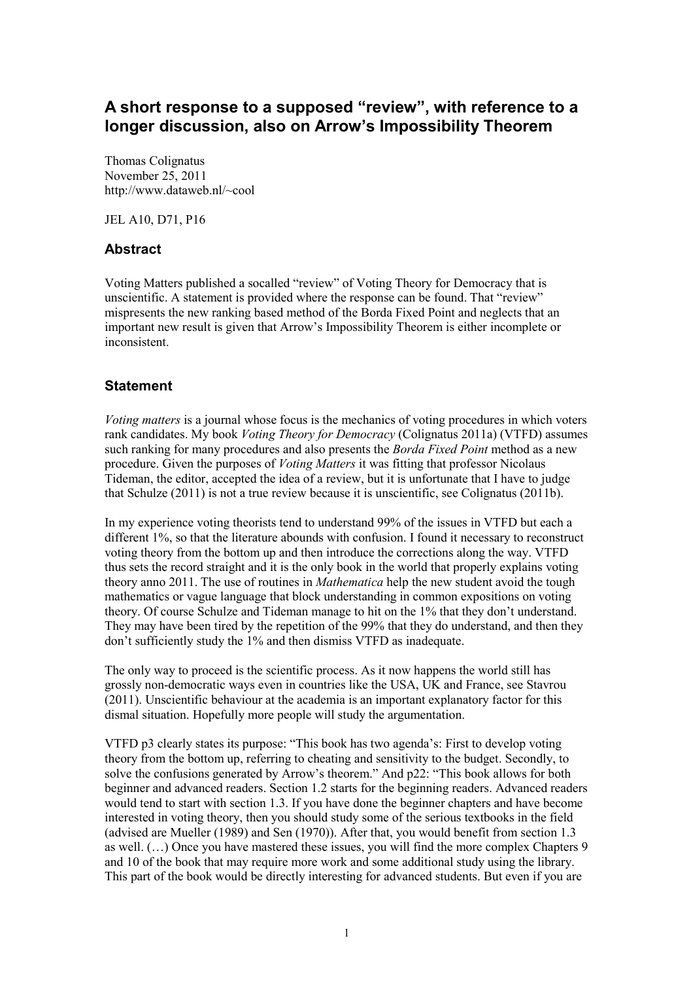## A short response to a supposed "review", with reference to a longer discussion, also on Arrow's Impossibility Theorem

Thomas Colignatus November 25, 2011 http://www.dataweb.nl/~cool

JEL A10, D71, P16

## Abstract

Voting Matters published a socalled "review" of Voting Theory for Democracy that is unscientific. A statement is provided where the response can be found. That "review" mispresents the new ranking based method of the Borda Fixed Point and neglects that an important new result is given that Arrow's Impossibility Theorem is either incomplete or inconsistent.

## **Statement**

Voting matters is a journal whose focus is the mechanics of voting procedures in which voters rank candidates. My book Voting Theory for Democracy (Colignatus 2011a) (VTFD) assumes such ranking for many procedures and also presents the *Borda Fixed Point* method as a new procedure. Given the purposes of Voting Matters it was fitting that professor Nicolaus Tideman, the editor, accepted the idea of a review, but it is unfortunate that I have to judge that Schulze (2011) is not a true review because it is unscientific, see Colignatus (2011b).

In my experience voting theorists tend to understand 99% of the issues in VTFD but each a different 1%, so that the literature abounds with confusion. I found it necessary to reconstruct voting theory from the bottom up and then introduce the corrections along the way. VTFD thus sets the record straight and it is the only book in the world that properly explains voting theory anno 2011. The use of routines in Mathematica help the new student avoid the tough mathematics or vague language that block understanding in common expositions on voting theory. Of course Schulze and Tideman manage to hit on the 1% that they don't understand. They may have been tired by the repetition of the 99% that they do understand, and then they don't sufficiently study the 1% and then dismiss VTFD as inadequate.

The only way to proceed is the scientific process. As it now happens the world still has grossly non-democratic ways even in countries like the USA, UK and France, see Stavrou (2011). Unscientific behaviour at the academia is an important explanatory factor for this dismal situation. Hopefully more people will study the argumentation.

VTFD p3 clearly states its purpose: "This book has two agenda's: First to develop voting theory from the bottom up, referring to cheating and sensitivity to the budget. Secondly, to solve the confusions generated by Arrow's theorem." And p22: "This book allows for both beginner and advanced readers. Section 1.2 starts for the beginning readers. Advanced readers would tend to start with section 1.3. If you have done the beginner chapters and have become interested in voting theory, then you should study some of the serious textbooks in the field (advised are Mueller (1989) and Sen (1970)). After that, you would benefit from section 1.3 as well. (…) Once you have mastered these issues, you will find the more complex Chapters 9 and 10 of the book that may require more work and some additional study using the library. This part of the book would be directly interesting for advanced students. But even if you are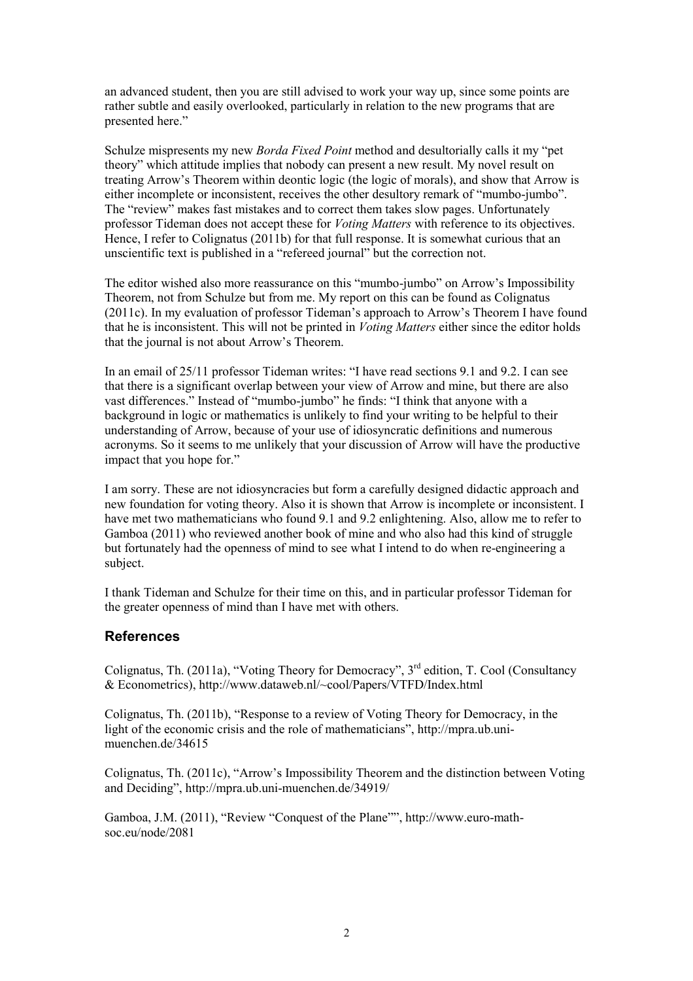an advanced student, then you are still advised to work your way up, since some points are rather subtle and easily overlooked, particularly in relation to the new programs that are presented here."

Schulze mispresents my new Borda Fixed Point method and desultorially calls it my "pet theory" which attitude implies that nobody can present a new result. My novel result on treating Arrow's Theorem within deontic logic (the logic of morals), and show that Arrow is either incomplete or inconsistent, receives the other desultory remark of "mumbo-jumbo". The "review" makes fast mistakes and to correct them takes slow pages. Unfortunately professor Tideman does not accept these for Voting Matters with reference to its objectives. Hence, I refer to Colignatus (2011b) for that full response. It is somewhat curious that an unscientific text is published in a "refereed journal" but the correction not.

The editor wished also more reassurance on this "mumbo-jumbo" on Arrow's Impossibility Theorem, not from Schulze but from me. My report on this can be found as Colignatus (2011c). In my evaluation of professor Tideman's approach to Arrow's Theorem I have found that he is inconsistent. This will not be printed in *Voting Matters* either since the editor holds that the journal is not about Arrow's Theorem.

In an email of 25/11 professor Tideman writes: "I have read sections 9.1 and 9.2. I can see that there is a significant overlap between your view of Arrow and mine, but there are also vast differences." Instead of "mumbo-jumbo" he finds: "I think that anyone with a background in logic or mathematics is unlikely to find your writing to be helpful to their understanding of Arrow, because of your use of idiosyncratic definitions and numerous acronyms. So it seems to me unlikely that your discussion of Arrow will have the productive impact that you hope for."

I am sorry. These are not idiosyncracies but form a carefully designed didactic approach and new foundation for voting theory. Also it is shown that Arrow is incomplete or inconsistent. I have met two mathematicians who found 9.1 and 9.2 enlightening. Also, allow me to refer to Gamboa (2011) who reviewed another book of mine and who also had this kind of struggle but fortunately had the openness of mind to see what I intend to do when re-engineering a subject.

I thank Tideman and Schulze for their time on this, and in particular professor Tideman for the greater openness of mind than I have met with others.

## **References**

Colignatus, Th. (2011a), "Voting Theory for Democracy",  $3<sup>rd</sup>$  edition, T. Cool (Consultancy & Econometrics), http://www.dataweb.nl/~cool/Papers/VTFD/Index.html

Colignatus, Th. (2011b), "Response to a review of Voting Theory for Democracy, in the light of the economic crisis and the role of mathematicians", http://mpra.ub.unimuenchen.de/34615

Colignatus, Th. (2011c), "Arrow's Impossibility Theorem and the distinction between Voting and Deciding", http://mpra.ub.uni-muenchen.de/34919/

Gamboa, J.M. (2011), "Review "Conquest of the Plane"", http://www.euro-mathsoc.eu/node/2081